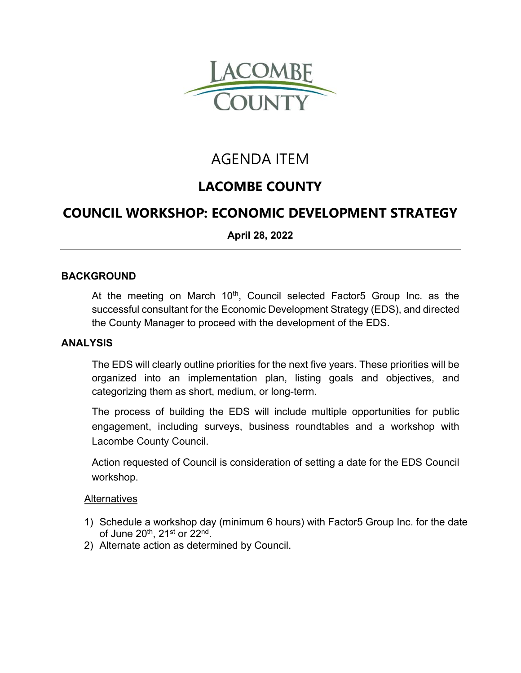

# AGENDA ITEM

## **LACOMBE COUNTY**

### **COUNCIL WORKSHOP: ECONOMIC DEVELOPMENT STRATEGY**

**April 28, 2022** 

#### **BACKGROUND**

At the meeting on March 10<sup>th</sup>, Council selected Factor5 Group Inc. as the successful consultant for the Economic Development Strategy (EDS), and directed the County Manager to proceed with the development of the EDS.

#### **ANALYSIS**

The EDS will clearly outline priorities for the next five years. These priorities will be organized into an implementation plan, listing goals and objectives, and categorizing them as short, medium, or long-term.

The process of building the EDS will include multiple opportunities for public engagement, including surveys, business roundtables and a workshop with Lacombe County Council.

Action requested of Council is consideration of setting a date for the EDS Council workshop.

#### **Alternatives**

- 1) Schedule a workshop day (minimum 6 hours) with Factor5 Group Inc. for the date of June 20<sup>th</sup>, 21<sup>st</sup> or 22<sup>nd</sup>.
- 2) Alternate action as determined by Council.